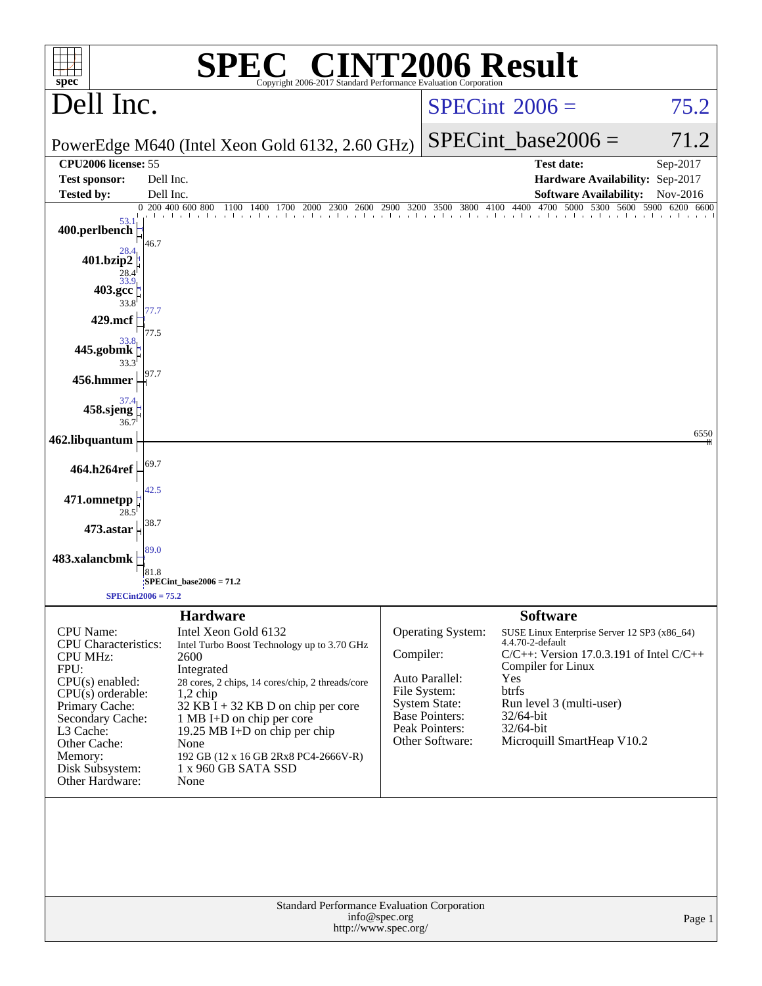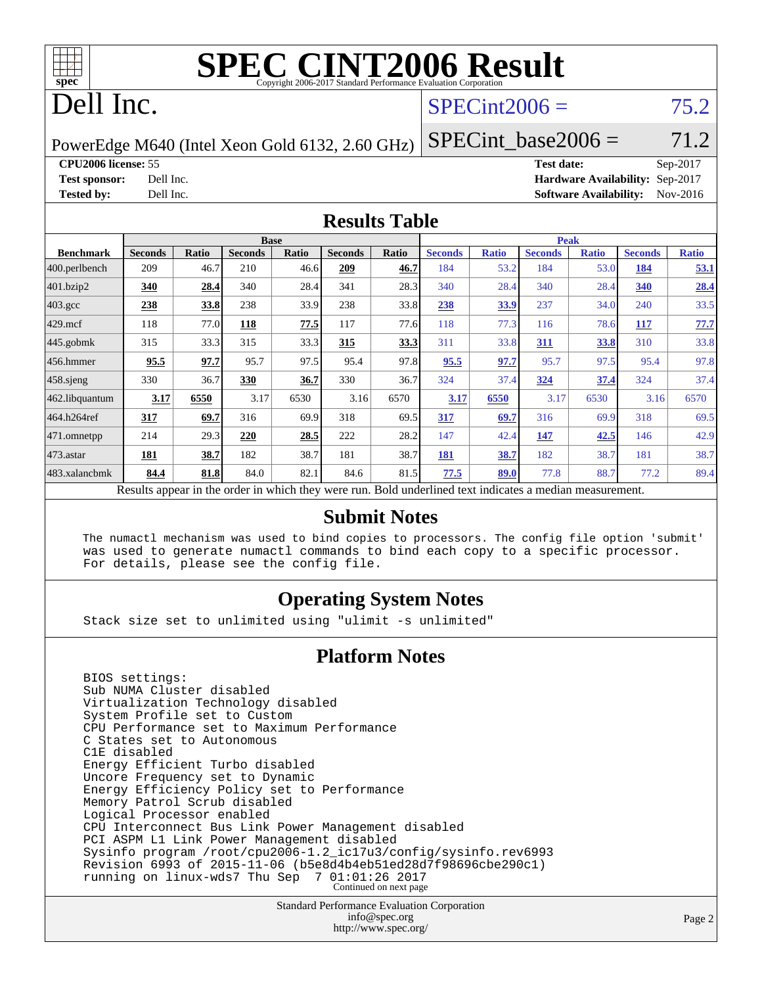

# **[SPEC CINT2006 Result](http://www.spec.org/auto/cpu2006/Docs/result-fields.html#SPECCINT2006Result)**

## Dell Inc.

## $SPECint2006 = 75.2$  $SPECint2006 = 75.2$

PowerEdge M640 (Intel Xeon Gold 6132, 2.60 GHz)

**[CPU2006 license:](http://www.spec.org/auto/cpu2006/Docs/result-fields.html#CPU2006license)** 55 **[Test date:](http://www.spec.org/auto/cpu2006/Docs/result-fields.html#Testdate)** Sep-2017

 $SPECTnt\_base2006 = 71.2$ 

**[Test sponsor:](http://www.spec.org/auto/cpu2006/Docs/result-fields.html#Testsponsor)** Dell Inc. **[Hardware Availability:](http://www.spec.org/auto/cpu2006/Docs/result-fields.html#HardwareAvailability)** Sep-2017 **[Tested by:](http://www.spec.org/auto/cpu2006/Docs/result-fields.html#Testedby)** Dell Inc. **[Software Availability:](http://www.spec.org/auto/cpu2006/Docs/result-fields.html#SoftwareAvailability)** Nov-2016

### **[Results Table](http://www.spec.org/auto/cpu2006/Docs/result-fields.html#ResultsTable)**

|                                                                                                          | <b>Base</b>    |       |                |       |                | <b>Peak</b> |                |              |                |              |                |              |
|----------------------------------------------------------------------------------------------------------|----------------|-------|----------------|-------|----------------|-------------|----------------|--------------|----------------|--------------|----------------|--------------|
| <b>Benchmark</b>                                                                                         | <b>Seconds</b> | Ratio | <b>Seconds</b> | Ratio | <b>Seconds</b> | Ratio       | <b>Seconds</b> | <b>Ratio</b> | <b>Seconds</b> | <b>Ratio</b> | <b>Seconds</b> | <b>Ratio</b> |
| 400.perlbench                                                                                            | 209            | 46.7  | 210            | 46.6  | 209            | 46.7        | 184            | 53.2         | 184            | 53.0         | 184            | 53.1         |
| 401.bzip2                                                                                                | 340            | 28.4  | 340            | 28.4  | 341            | 28.3        | 340            | 28.4         | 340            | 28.4         | 340            | 28.4         |
| $403.\text{gcc}$                                                                                         | 238            | 33.8  | 238            | 33.9  | 238            | 33.8        | 238            | 33.9         | 237            | 34.0         | 240            | 33.5         |
| $429$ mcf                                                                                                | 118            | 77.0  | 118            | 77.5  | 117            | 77.6        | 118            | 77.3         | 116            | 78.6         | 117            | 77.7         |
| $445$ .gobmk                                                                                             | 315            | 33.3  | 315            | 33.3  | 315            | 33.3        | 311            | 33.8         | 311            | 33.8         | 310            | 33.8         |
| 456.hmmer                                                                                                | 95.5           | 97.7  | 95.7           | 97.5  | 95.4           | 97.8        | 95.5           | 97.7         | 95.7           | 97.5         | 95.4           | 97.8         |
| $458$ .sjeng                                                                                             | 330            | 36.7  | 330            | 36.7  | 330            | 36.7        | 324            | 37.4         | 324            | 37.4         | 324            | 37.4         |
| 462.libquantum                                                                                           | 3.17           | 6550  | 3.17           | 6530  | 3.16           | 6570        | 3.17           | 6550         | 3.17           | 6530         | 3.16           | 6570         |
| 464.h264ref                                                                                              | 317            | 69.7  | 316            | 69.9  | 318            | 69.5        | 317            | 69.7         | 316            | 69.9         | 318            | 69.5         |
| 471.omnetpp                                                                                              | 214            | 29.3  | 220            | 28.5  | 222            | 28.2        | 147            | 42.4         | 147            | 42.5         | 146            | 42.9         |
| $473$ . astar                                                                                            | 181            | 38.7  | 182            | 38.7  | 181            | 38.7        | 181            | 38.7         | 182            | 38.7         | 181            | 38.7         |
| 483.xalancbmk                                                                                            | 84.4           | 81.8  | 84.0           | 82.1  | 84.6           | 81.5        | 77.5           | 89.0         | 77.8           | 88.7         | 77.2           | 89.4         |
| Results appear in the order in which they were run. Bold underlined text indicates a median measurement. |                |       |                |       |                |             |                |              |                |              |                |              |

### **[Submit Notes](http://www.spec.org/auto/cpu2006/Docs/result-fields.html#SubmitNotes)**

 The numactl mechanism was used to bind copies to processors. The config file option 'submit' was used to generate numactl commands to bind each copy to a specific processor. For details, please see the config file.

### **[Operating System Notes](http://www.spec.org/auto/cpu2006/Docs/result-fields.html#OperatingSystemNotes)**

Stack size set to unlimited using "ulimit -s unlimited"

### **[Platform Notes](http://www.spec.org/auto/cpu2006/Docs/result-fields.html#PlatformNotes)**

 BIOS settings: Sub NUMA Cluster disabled Virtualization Technology disabled System Profile set to Custom CPU Performance set to Maximum Performance C States set to Autonomous C1E disabled Energy Efficient Turbo disabled Uncore Frequency set to Dynamic Energy Efficiency Policy set to Performance Memory Patrol Scrub disabled Logical Processor enabled CPU Interconnect Bus Link Power Management disabled PCI ASPM L1 Link Power Management disabled Sysinfo program /root/cpu2006-1.2\_ic17u3/config/sysinfo.rev6993 Revision 6993 of 2015-11-06 (b5e8d4b4eb51ed28d7f98696cbe290c1) running on linux-wds7 Thu Sep 7 01:01:26 2017 Continued on next page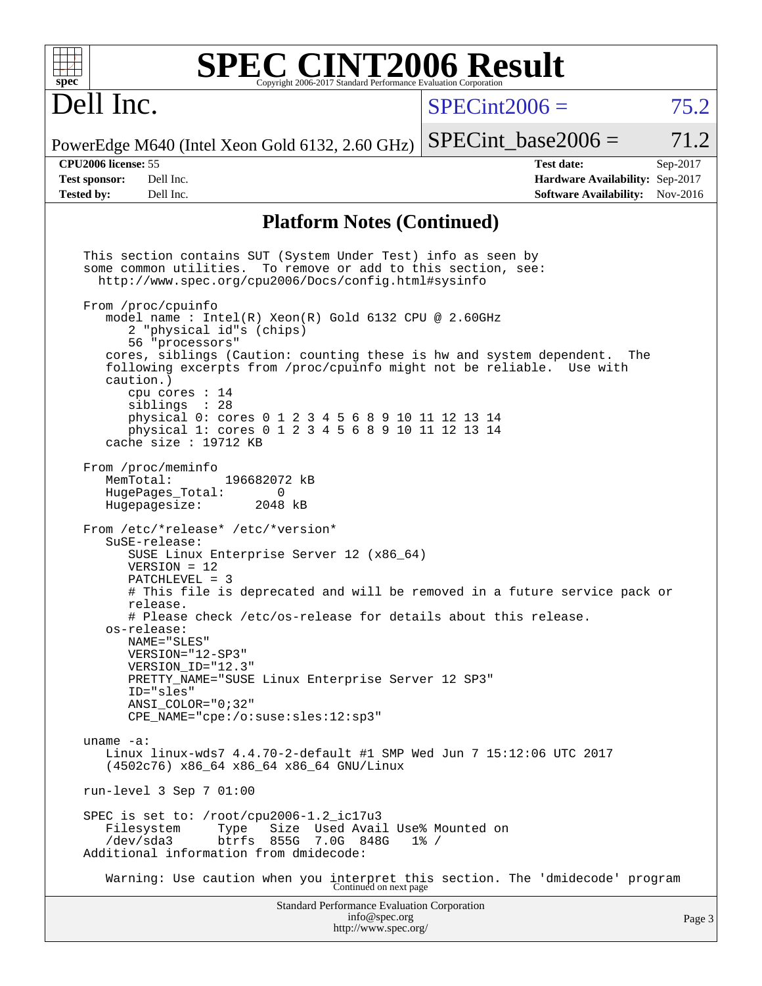| $spec^{\circ}$                                                          | <b>SPEC CINT2006 Result</b>                                                                                                                                                                                                                                                                                                                                                                                                                                                                                                                                                                                                                                                                                                                                                                                                                                                                                                                                                                                                                                                                                                                                                                                                                                                                                                                                                                                                                                                                                                                                                                                                    | Copyright 2006-2017 Standard Performance Evaluation Corporation                      |                                                                                      |                                                                                       |                      |
|-------------------------------------------------------------------------|--------------------------------------------------------------------------------------------------------------------------------------------------------------------------------------------------------------------------------------------------------------------------------------------------------------------------------------------------------------------------------------------------------------------------------------------------------------------------------------------------------------------------------------------------------------------------------------------------------------------------------------------------------------------------------------------------------------------------------------------------------------------------------------------------------------------------------------------------------------------------------------------------------------------------------------------------------------------------------------------------------------------------------------------------------------------------------------------------------------------------------------------------------------------------------------------------------------------------------------------------------------------------------------------------------------------------------------------------------------------------------------------------------------------------------------------------------------------------------------------------------------------------------------------------------------------------------------------------------------------------------|--------------------------------------------------------------------------------------|--------------------------------------------------------------------------------------|---------------------------------------------------------------------------------------|----------------------|
| Dell Inc.                                                               |                                                                                                                                                                                                                                                                                                                                                                                                                                                                                                                                                                                                                                                                                                                                                                                                                                                                                                                                                                                                                                                                                                                                                                                                                                                                                                                                                                                                                                                                                                                                                                                                                                |                                                                                      | $SPECint2006 =$                                                                      |                                                                                       | 75.2                 |
|                                                                         | PowerEdge M640 (Intel Xeon Gold 6132, 2.60 GHz)                                                                                                                                                                                                                                                                                                                                                                                                                                                                                                                                                                                                                                                                                                                                                                                                                                                                                                                                                                                                                                                                                                                                                                                                                                                                                                                                                                                                                                                                                                                                                                                |                                                                                      |                                                                                      | $SPECint base2006 =$                                                                  | 71.2                 |
| <b>CPU2006</b> license: 55<br><b>Test sponsor:</b><br><b>Tested by:</b> | Dell Inc.<br>Dell Inc.                                                                                                                                                                                                                                                                                                                                                                                                                                                                                                                                                                                                                                                                                                                                                                                                                                                                                                                                                                                                                                                                                                                                                                                                                                                                                                                                                                                                                                                                                                                                                                                                         |                                                                                      |                                                                                      | <b>Test date:</b><br>Hardware Availability: Sep-2017<br><b>Software Availability:</b> | Sep-2017<br>Nov-2016 |
|                                                                         |                                                                                                                                                                                                                                                                                                                                                                                                                                                                                                                                                                                                                                                                                                                                                                                                                                                                                                                                                                                                                                                                                                                                                                                                                                                                                                                                                                                                                                                                                                                                                                                                                                | <b>Platform Notes (Continued)</b>                                                    |                                                                                      |                                                                                       |                      |
| caution.)<br>MemTotal:<br>uname $-a$ :                                  | This section contains SUT (System Under Test) info as seen by<br>some common utilities.<br>http://www.spec.org/cpu2006/Docs/config.html#sysinfo<br>From /proc/cpuinfo<br>model name: Intel(R) Xeon(R) Gold 6132 CPU @ 2.60GHz<br>2 "physical id"s (chips)<br>56 "processors"<br>cores, siblings (Caution: counting these is hw and system dependent.<br>following excerpts from /proc/cpuinfo might not be reliable. Use with<br>cpu cores $: 14$<br>siblings : 28<br>physical 0: cores 0 1 2 3 4 5 6 8 9 10 11 12 13 14<br>physical 1: cores 0 1 2 3 4 5 6 8 9 10 11 12 13 14<br>cache size : $19712$ KB<br>From /proc/meminfo<br>196682072 kB<br>HugePages_Total:<br>0<br>Hugepagesize:<br>2048 kB<br>From /etc/*release* /etc/*version*<br>$S$ uSE-release:<br>SUSE Linux Enterprise Server 12 (x86_64)<br>$VERSION = 12$<br>$PATCHLEVEL = 3$<br># This file is deprecated and will be removed in a future service pack or<br>release.<br># Please check /etc/os-release for details about this release.<br>os-release:<br>NAME="SLES"<br>VERSION="12-SP3"<br>VERSION ID="12.3"<br>PRETTY_NAME="SUSE Linux Enterprise Server 12 SP3"<br>ID="sles"<br>ANSI_COLOR="0;32"<br>CPE_NAME="cpe:/o:suse:sles:12:sp3"<br>Linux linux-wds7 4.4.70-2-default #1 SMP Wed Jun 7 15:12:06 UTC 2017<br>(4502c76) x86_64 x86_64 x86_64 GNU/Linux<br>run-level $3$ Sep $7$ 01:00<br>SPEC is set to: /root/cpu2006-1.2_ic17u3<br>Filesystem<br>Type<br>/dev/sda3<br>btrfs 855G 7.0G 848G<br>Additional information from dmidecode:<br>Warning: Use caution when you interpret this section. The 'dmidecode' program<br>Continued on next page |                                                                                      | To remove or add to this section, see:<br>Size Used Avail Use% Mounted on<br>$1\%$ / | The                                                                                   |                      |
|                                                                         |                                                                                                                                                                                                                                                                                                                                                                                                                                                                                                                                                                                                                                                                                                                                                                                                                                                                                                                                                                                                                                                                                                                                                                                                                                                                                                                                                                                                                                                                                                                                                                                                                                | Standard Performance Evaluation Corporation<br>info@spec.org<br>http://www.spec.org/ |                                                                                      |                                                                                       | Page 3               |
|                                                                         |                                                                                                                                                                                                                                                                                                                                                                                                                                                                                                                                                                                                                                                                                                                                                                                                                                                                                                                                                                                                                                                                                                                                                                                                                                                                                                                                                                                                                                                                                                                                                                                                                                |                                                                                      |                                                                                      |                                                                                       |                      |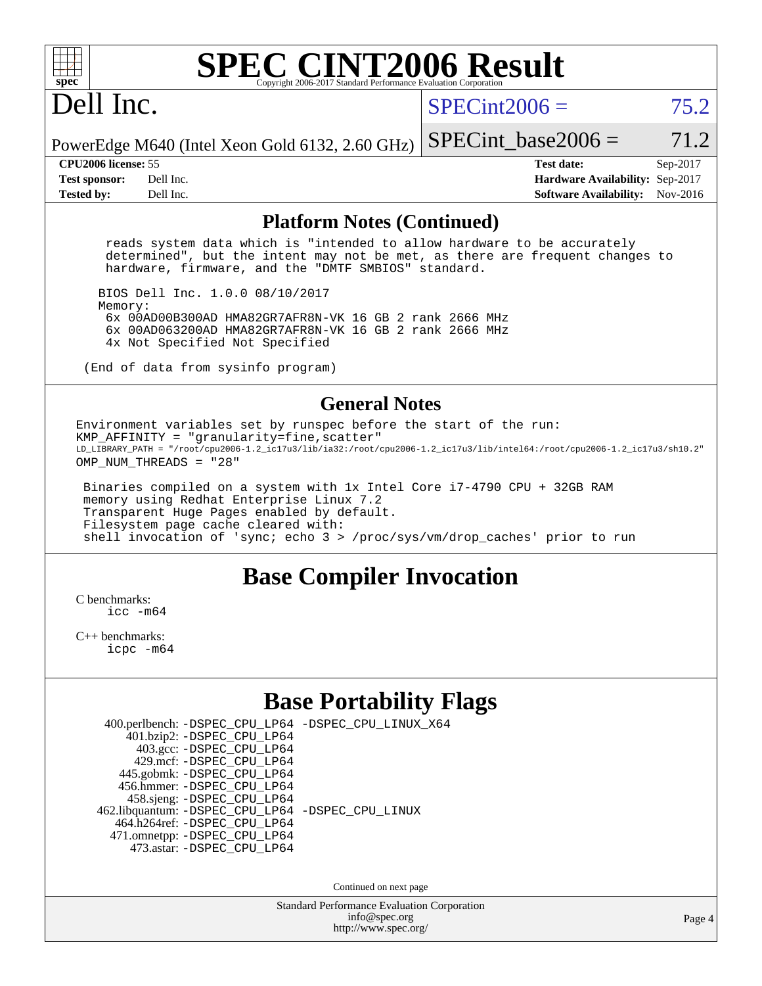

### **[SPEC CINT2006 Result](http://www.spec.org/auto/cpu2006/Docs/result-fields.html#SPECCINT2006Result)** Copyright 2006-2017 Standard Performance Evaluation C

## Dell Inc.

 $SPECint2006 = 75.2$  $SPECint2006 = 75.2$ 

PowerEdge M640 (Intel Xeon Gold 6132, 2.60 GHz) SPECint base2006 =  $71.2$ 

**[CPU2006 license:](http://www.spec.org/auto/cpu2006/Docs/result-fields.html#CPU2006license)** 55 **[Test date:](http://www.spec.org/auto/cpu2006/Docs/result-fields.html#Testdate)** Sep-2017 **[Test sponsor:](http://www.spec.org/auto/cpu2006/Docs/result-fields.html#Testsponsor)** Dell Inc. **[Hardware Availability:](http://www.spec.org/auto/cpu2006/Docs/result-fields.html#HardwareAvailability)** Sep-2017 **[Tested by:](http://www.spec.org/auto/cpu2006/Docs/result-fields.html#Testedby)** Dell Inc. **[Software Availability:](http://www.spec.org/auto/cpu2006/Docs/result-fields.html#SoftwareAvailability)** Nov-2016

#### **[Platform Notes \(Continued\)](http://www.spec.org/auto/cpu2006/Docs/result-fields.html#PlatformNotes)**

 reads system data which is "intended to allow hardware to be accurately determined", but the intent may not be met, as there are frequent changes to hardware, firmware, and the "DMTF SMBIOS" standard.

 BIOS Dell Inc. 1.0.0 08/10/2017 Memory: 6x 00AD00B300AD HMA82GR7AFR8N-VK 16 GB 2 rank 2666 MHz 6x 00AD063200AD HMA82GR7AFR8N-VK 16 GB 2 rank 2666 MHz 4x Not Specified Not Specified

(End of data from sysinfo program)

### **[General Notes](http://www.spec.org/auto/cpu2006/Docs/result-fields.html#GeneralNotes)**

Environment variables set by runspec before the start of the run:  $KMP_A$ FFINITY = "granularity=fine, scatter" LD\_LIBRARY\_PATH = "/root/cpu2006-1.2\_ic17u3/lib/ia32:/root/cpu2006-1.2\_ic17u3/lib/intel64:/root/cpu2006-1.2\_ic17u3/sh10.2" OMP\_NUM\_THREADS = "28"

 Binaries compiled on a system with 1x Intel Core i7-4790 CPU + 32GB RAM memory using Redhat Enterprise Linux 7.2 Transparent Huge Pages enabled by default. Filesystem page cache cleared with: shell invocation of 'sync; echo 3 > /proc/sys/vm/drop\_caches' prior to run

## **[Base Compiler Invocation](http://www.spec.org/auto/cpu2006/Docs/result-fields.html#BaseCompilerInvocation)**

[C benchmarks](http://www.spec.org/auto/cpu2006/Docs/result-fields.html#Cbenchmarks): [icc -m64](http://www.spec.org/cpu2006/results/res2017q4/cpu2006-20170918-49865.flags.html#user_CCbase_intel_icc_64bit_bda6cc9af1fdbb0edc3795bac97ada53)

[C++ benchmarks:](http://www.spec.org/auto/cpu2006/Docs/result-fields.html#CXXbenchmarks) [icpc -m64](http://www.spec.org/cpu2006/results/res2017q4/cpu2006-20170918-49865.flags.html#user_CXXbase_intel_icpc_64bit_fc66a5337ce925472a5c54ad6a0de310)

## **[Base Portability Flags](http://www.spec.org/auto/cpu2006/Docs/result-fields.html#BasePortabilityFlags)**

| 400.perlbench: -DSPEC_CPU_LP64 -DSPEC_CPU_LINUX_X64 |  |  |  |  |
|-----------------------------------------------------|--|--|--|--|
| 401.bzip2: -DSPEC_CPU_LP64                          |  |  |  |  |
| 403.gcc: -DSPEC_CPU_LP64                            |  |  |  |  |
| 429.mcf: -DSPEC CPU LP64                            |  |  |  |  |
| 445.gobmk: -DSPEC_CPU_LP64                          |  |  |  |  |
| 456.hmmer: - DSPEC CPU LP64                         |  |  |  |  |
| 458.sjeng: -DSPEC_CPU_LP64                          |  |  |  |  |
| 462.libquantum: - DSPEC_CPU_LP64 - DSPEC_CPU_LINUX  |  |  |  |  |
| 464.h264ref: -DSPEC CPU LP64                        |  |  |  |  |
| 471.omnetpp: -DSPEC_CPU_LP64                        |  |  |  |  |
| 473.astar: - DSPEC CPU LP64                         |  |  |  |  |

Continued on next page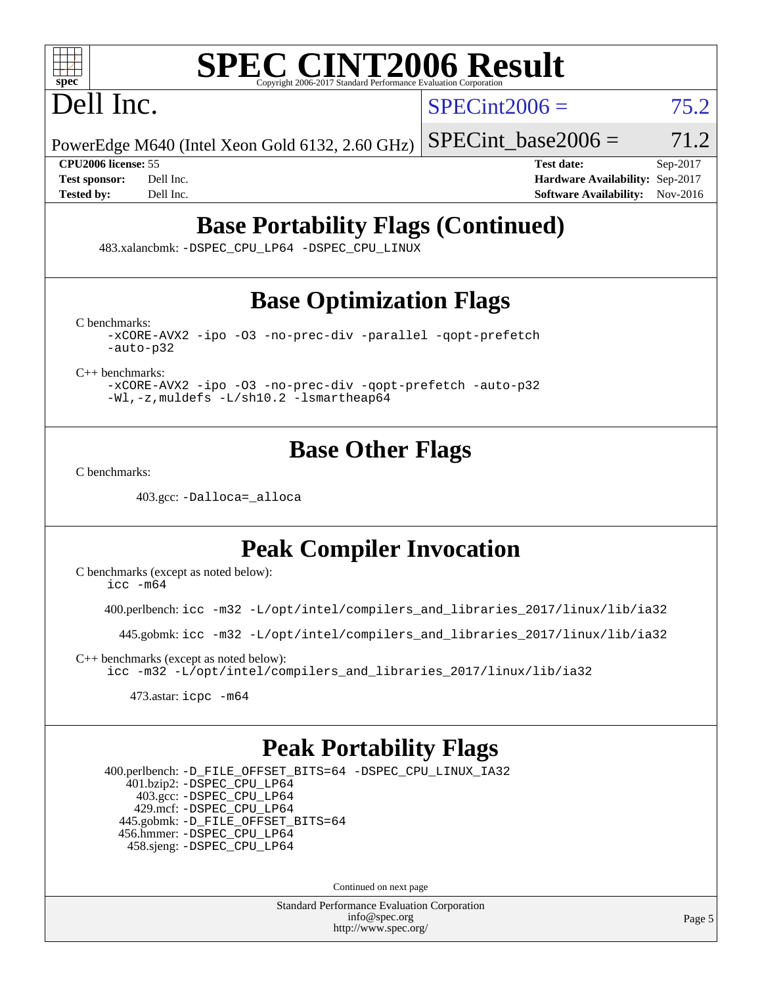

# **[SPEC CINT2006 Result](http://www.spec.org/auto/cpu2006/Docs/result-fields.html#SPECCINT2006Result)**

Dell Inc.

 $SPECint2006 = 75.2$  $SPECint2006 = 75.2$ 

PowerEdge M640 (Intel Xeon Gold 6132, 2.60 GHz)

SPECint base2006 =  $71.2$ 

**[CPU2006 license:](http://www.spec.org/auto/cpu2006/Docs/result-fields.html#CPU2006license)** 55 **[Test date:](http://www.spec.org/auto/cpu2006/Docs/result-fields.html#Testdate)** Sep-2017 **[Test sponsor:](http://www.spec.org/auto/cpu2006/Docs/result-fields.html#Testsponsor)** Dell Inc. **[Hardware Availability:](http://www.spec.org/auto/cpu2006/Docs/result-fields.html#HardwareAvailability)** Sep-2017 **[Tested by:](http://www.spec.org/auto/cpu2006/Docs/result-fields.html#Testedby)** Dell Inc. **[Software Availability:](http://www.spec.org/auto/cpu2006/Docs/result-fields.html#SoftwareAvailability)** Nov-2016

## **[Base Portability Flags \(Continued\)](http://www.spec.org/auto/cpu2006/Docs/result-fields.html#BasePortabilityFlags)**

483.xalancbmk: [-DSPEC\\_CPU\\_LP64](http://www.spec.org/cpu2006/results/res2017q4/cpu2006-20170918-49865.flags.html#suite_basePORTABILITY483_xalancbmk_DSPEC_CPU_LP64) [-DSPEC\\_CPU\\_LINUX](http://www.spec.org/cpu2006/results/res2017q4/cpu2006-20170918-49865.flags.html#b483.xalancbmk_baseCXXPORTABILITY_DSPEC_CPU_LINUX)

## **[Base Optimization Flags](http://www.spec.org/auto/cpu2006/Docs/result-fields.html#BaseOptimizationFlags)**

[C benchmarks](http://www.spec.org/auto/cpu2006/Docs/result-fields.html#Cbenchmarks):

[-xCORE-AVX2](http://www.spec.org/cpu2006/results/res2017q4/cpu2006-20170918-49865.flags.html#user_CCbase_f-xCORE-AVX2) [-ipo](http://www.spec.org/cpu2006/results/res2017q4/cpu2006-20170918-49865.flags.html#user_CCbase_f-ipo) [-O3](http://www.spec.org/cpu2006/results/res2017q4/cpu2006-20170918-49865.flags.html#user_CCbase_f-O3) [-no-prec-div](http://www.spec.org/cpu2006/results/res2017q4/cpu2006-20170918-49865.flags.html#user_CCbase_f-no-prec-div) [-parallel](http://www.spec.org/cpu2006/results/res2017q4/cpu2006-20170918-49865.flags.html#user_CCbase_f-parallel) [-qopt-prefetch](http://www.spec.org/cpu2006/results/res2017q4/cpu2006-20170918-49865.flags.html#user_CCbase_f-qopt-prefetch) [-auto-p32](http://www.spec.org/cpu2006/results/res2017q4/cpu2006-20170918-49865.flags.html#user_CCbase_f-auto-p32)

[C++ benchmarks:](http://www.spec.org/auto/cpu2006/Docs/result-fields.html#CXXbenchmarks)

[-xCORE-AVX2](http://www.spec.org/cpu2006/results/res2017q4/cpu2006-20170918-49865.flags.html#user_CXXbase_f-xCORE-AVX2) [-ipo](http://www.spec.org/cpu2006/results/res2017q4/cpu2006-20170918-49865.flags.html#user_CXXbase_f-ipo) [-O3](http://www.spec.org/cpu2006/results/res2017q4/cpu2006-20170918-49865.flags.html#user_CXXbase_f-O3) [-no-prec-div](http://www.spec.org/cpu2006/results/res2017q4/cpu2006-20170918-49865.flags.html#user_CXXbase_f-no-prec-div) [-qopt-prefetch](http://www.spec.org/cpu2006/results/res2017q4/cpu2006-20170918-49865.flags.html#user_CXXbase_f-qopt-prefetch) [-auto-p32](http://www.spec.org/cpu2006/results/res2017q4/cpu2006-20170918-49865.flags.html#user_CXXbase_f-auto-p32) [-Wl,-z,muldefs](http://www.spec.org/cpu2006/results/res2017q4/cpu2006-20170918-49865.flags.html#user_CXXbase_link_force_multiple1_74079c344b956b9658436fd1b6dd3a8a) [-L/sh10.2 -lsmartheap64](http://www.spec.org/cpu2006/results/res2017q4/cpu2006-20170918-49865.flags.html#user_CXXbase_SmartHeap64_63911d860fc08c15fa1d5bf319b9d8d5)

## **[Base Other Flags](http://www.spec.org/auto/cpu2006/Docs/result-fields.html#BaseOtherFlags)**

[C benchmarks](http://www.spec.org/auto/cpu2006/Docs/result-fields.html#Cbenchmarks):

403.gcc: [-Dalloca=\\_alloca](http://www.spec.org/cpu2006/results/res2017q4/cpu2006-20170918-49865.flags.html#b403.gcc_baseEXTRA_CFLAGS_Dalloca_be3056838c12de2578596ca5467af7f3)

## **[Peak Compiler Invocation](http://www.spec.org/auto/cpu2006/Docs/result-fields.html#PeakCompilerInvocation)**

[C benchmarks \(except as noted below\)](http://www.spec.org/auto/cpu2006/Docs/result-fields.html#Cbenchmarksexceptasnotedbelow):  $\text{icc } -\text{m64}$ 

400.perlbench: [icc -m32 -L/opt/intel/compilers\\_and\\_libraries\\_2017/linux/lib/ia32](http://www.spec.org/cpu2006/results/res2017q4/cpu2006-20170918-49865.flags.html#user_peakCCLD400_perlbench_intel_icc_c29f3ff5a7ed067b11e4ec10a03f03ae)

445.gobmk: [icc -m32 -L/opt/intel/compilers\\_and\\_libraries\\_2017/linux/lib/ia32](http://www.spec.org/cpu2006/results/res2017q4/cpu2006-20170918-49865.flags.html#user_peakCCLD445_gobmk_intel_icc_c29f3ff5a7ed067b11e4ec10a03f03ae)

[C++ benchmarks \(except as noted below\):](http://www.spec.org/auto/cpu2006/Docs/result-fields.html#CXXbenchmarksexceptasnotedbelow) [icc -m32 -L/opt/intel/compilers\\_and\\_libraries\\_2017/linux/lib/ia32](http://www.spec.org/cpu2006/results/res2017q4/cpu2006-20170918-49865.flags.html#user_CXXpeak_intel_icc_c29f3ff5a7ed067b11e4ec10a03f03ae)

473.astar: [icpc -m64](http://www.spec.org/cpu2006/results/res2017q4/cpu2006-20170918-49865.flags.html#user_peakCXXLD473_astar_intel_icpc_64bit_fc66a5337ce925472a5c54ad6a0de310)

## **[Peak Portability Flags](http://www.spec.org/auto/cpu2006/Docs/result-fields.html#PeakPortabilityFlags)**

 400.perlbench: [-D\\_FILE\\_OFFSET\\_BITS=64](http://www.spec.org/cpu2006/results/res2017q4/cpu2006-20170918-49865.flags.html#user_peakPORTABILITY400_perlbench_file_offset_bits_64_438cf9856305ebd76870a2c6dc2689ab) [-DSPEC\\_CPU\\_LINUX\\_IA32](http://www.spec.org/cpu2006/results/res2017q4/cpu2006-20170918-49865.flags.html#b400.perlbench_peakCPORTABILITY_DSPEC_CPU_LINUX_IA32) 401.bzip2: [-DSPEC\\_CPU\\_LP64](http://www.spec.org/cpu2006/results/res2017q4/cpu2006-20170918-49865.flags.html#suite_peakPORTABILITY401_bzip2_DSPEC_CPU_LP64) 403.gcc: [-DSPEC\\_CPU\\_LP64](http://www.spec.org/cpu2006/results/res2017q4/cpu2006-20170918-49865.flags.html#suite_peakPORTABILITY403_gcc_DSPEC_CPU_LP64) 429.mcf: [-DSPEC\\_CPU\\_LP64](http://www.spec.org/cpu2006/results/res2017q4/cpu2006-20170918-49865.flags.html#suite_peakPORTABILITY429_mcf_DSPEC_CPU_LP64) 445.gobmk: [-D\\_FILE\\_OFFSET\\_BITS=64](http://www.spec.org/cpu2006/results/res2017q4/cpu2006-20170918-49865.flags.html#user_peakPORTABILITY445_gobmk_file_offset_bits_64_438cf9856305ebd76870a2c6dc2689ab) 456.hmmer: [-DSPEC\\_CPU\\_LP64](http://www.spec.org/cpu2006/results/res2017q4/cpu2006-20170918-49865.flags.html#suite_peakPORTABILITY456_hmmer_DSPEC_CPU_LP64) 458.sjeng: [-DSPEC\\_CPU\\_LP64](http://www.spec.org/cpu2006/results/res2017q4/cpu2006-20170918-49865.flags.html#suite_peakPORTABILITY458_sjeng_DSPEC_CPU_LP64)

Continued on next page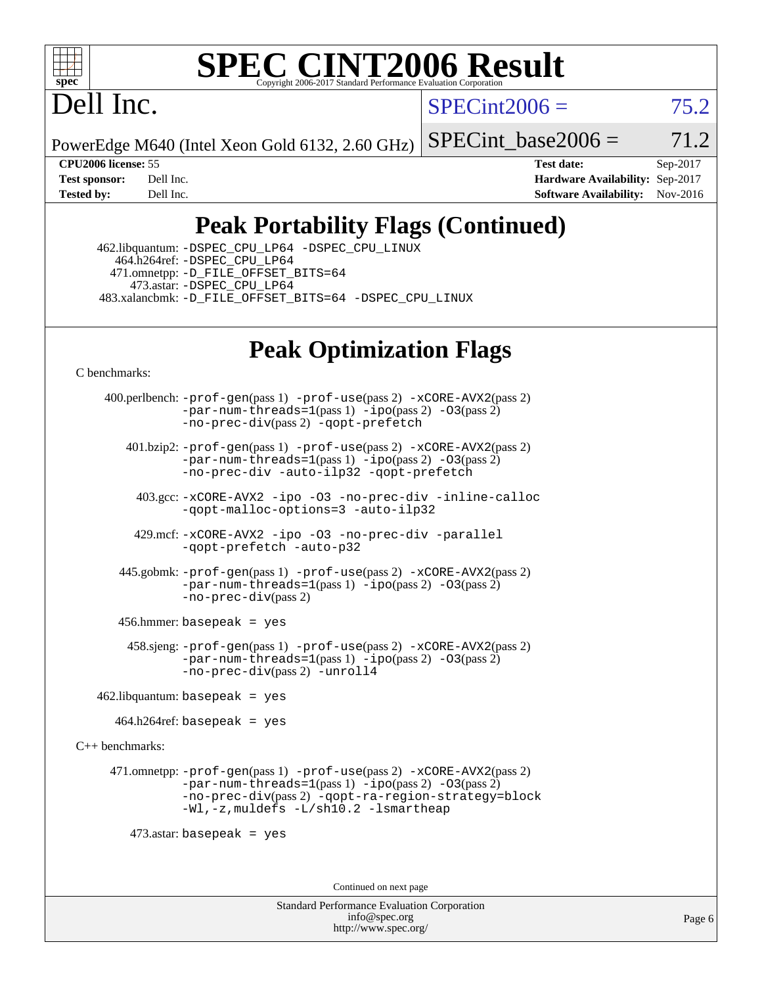

### **[SPEC CINT2006 Result](http://www.spec.org/auto/cpu2006/Docs/result-fields.html#SPECCINT2006Result)** Copyright 2006-2017 Standard Performance Evaluation C

Dell Inc.

 $SPECint2006 = 75.2$  $SPECint2006 = 75.2$ 

PowerEdge M640 (Intel Xeon Gold 6132, 2.60 GHz)

SPECint base2006 =  $71.2$ 

**[CPU2006 license:](http://www.spec.org/auto/cpu2006/Docs/result-fields.html#CPU2006license)** 55 **[Test date:](http://www.spec.org/auto/cpu2006/Docs/result-fields.html#Testdate)** Sep-2017 **[Test sponsor:](http://www.spec.org/auto/cpu2006/Docs/result-fields.html#Testsponsor)** Dell Inc. **[Hardware Availability:](http://www.spec.org/auto/cpu2006/Docs/result-fields.html#HardwareAvailability)** Sep-2017 **[Tested by:](http://www.spec.org/auto/cpu2006/Docs/result-fields.html#Testedby)** Dell Inc. **[Software Availability:](http://www.spec.org/auto/cpu2006/Docs/result-fields.html#SoftwareAvailability)** Nov-2016

## **[Peak Portability Flags \(Continued\)](http://www.spec.org/auto/cpu2006/Docs/result-fields.html#PeakPortabilityFlags)**

 462.libquantum: [-DSPEC\\_CPU\\_LP64](http://www.spec.org/cpu2006/results/res2017q4/cpu2006-20170918-49865.flags.html#suite_peakPORTABILITY462_libquantum_DSPEC_CPU_LP64) [-DSPEC\\_CPU\\_LINUX](http://www.spec.org/cpu2006/results/res2017q4/cpu2006-20170918-49865.flags.html#b462.libquantum_peakCPORTABILITY_DSPEC_CPU_LINUX) 464.h264ref: [-DSPEC\\_CPU\\_LP64](http://www.spec.org/cpu2006/results/res2017q4/cpu2006-20170918-49865.flags.html#suite_peakPORTABILITY464_h264ref_DSPEC_CPU_LP64) 471.omnetpp: [-D\\_FILE\\_OFFSET\\_BITS=64](http://www.spec.org/cpu2006/results/res2017q4/cpu2006-20170918-49865.flags.html#user_peakPORTABILITY471_omnetpp_file_offset_bits_64_438cf9856305ebd76870a2c6dc2689ab) 473.astar: [-DSPEC\\_CPU\\_LP64](http://www.spec.org/cpu2006/results/res2017q4/cpu2006-20170918-49865.flags.html#suite_peakPORTABILITY473_astar_DSPEC_CPU_LP64) 483.xalancbmk: [-D\\_FILE\\_OFFSET\\_BITS=64](http://www.spec.org/cpu2006/results/res2017q4/cpu2006-20170918-49865.flags.html#user_peakPORTABILITY483_xalancbmk_file_offset_bits_64_438cf9856305ebd76870a2c6dc2689ab) [-DSPEC\\_CPU\\_LINUX](http://www.spec.org/cpu2006/results/res2017q4/cpu2006-20170918-49865.flags.html#b483.xalancbmk_peakCXXPORTABILITY_DSPEC_CPU_LINUX)

## **[Peak Optimization Flags](http://www.spec.org/auto/cpu2006/Docs/result-fields.html#PeakOptimizationFlags)**

[C benchmarks](http://www.spec.org/auto/cpu2006/Docs/result-fields.html#Cbenchmarks):

 400.perlbench: [-prof-gen](http://www.spec.org/cpu2006/results/res2017q4/cpu2006-20170918-49865.flags.html#user_peakPASS1_CFLAGSPASS1_LDCFLAGS400_perlbench_prof_gen_e43856698f6ca7b7e442dfd80e94a8fc)(pass 1) [-prof-use](http://www.spec.org/cpu2006/results/res2017q4/cpu2006-20170918-49865.flags.html#user_peakPASS2_CFLAGSPASS2_LDCFLAGS400_perlbench_prof_use_bccf7792157ff70d64e32fe3e1250b55)(pass 2) [-xCORE-AVX2](http://www.spec.org/cpu2006/results/res2017q4/cpu2006-20170918-49865.flags.html#user_peakPASS2_CFLAGSPASS2_LDCFLAGS400_perlbench_f-xCORE-AVX2)(pass 2) [-par-num-threads=1](http://www.spec.org/cpu2006/results/res2017q4/cpu2006-20170918-49865.flags.html#user_peakPASS1_CFLAGSPASS1_LDCFLAGS400_perlbench_par_num_threads_786a6ff141b4e9e90432e998842df6c2)(pass 1) [-ipo](http://www.spec.org/cpu2006/results/res2017q4/cpu2006-20170918-49865.flags.html#user_peakPASS2_CFLAGSPASS2_LDCFLAGS400_perlbench_f-ipo)(pass 2) [-O3](http://www.spec.org/cpu2006/results/res2017q4/cpu2006-20170918-49865.flags.html#user_peakPASS2_CFLAGSPASS2_LDCFLAGS400_perlbench_f-O3)(pass 2) [-no-prec-div](http://www.spec.org/cpu2006/results/res2017q4/cpu2006-20170918-49865.flags.html#user_peakPASS2_CFLAGSPASS2_LDCFLAGS400_perlbench_f-no-prec-div)(pass 2) [-qopt-prefetch](http://www.spec.org/cpu2006/results/res2017q4/cpu2006-20170918-49865.flags.html#user_peakCOPTIMIZE400_perlbench_f-qopt-prefetch) 401.bzip2: [-prof-gen](http://www.spec.org/cpu2006/results/res2017q4/cpu2006-20170918-49865.flags.html#user_peakPASS1_CFLAGSPASS1_LDCFLAGS401_bzip2_prof_gen_e43856698f6ca7b7e442dfd80e94a8fc)(pass 1) [-prof-use](http://www.spec.org/cpu2006/results/res2017q4/cpu2006-20170918-49865.flags.html#user_peakPASS2_CFLAGSPASS2_LDCFLAGS401_bzip2_prof_use_bccf7792157ff70d64e32fe3e1250b55)(pass 2) [-xCORE-AVX2](http://www.spec.org/cpu2006/results/res2017q4/cpu2006-20170918-49865.flags.html#user_peakPASS2_CFLAGSPASS2_LDCFLAGS401_bzip2_f-xCORE-AVX2)(pass 2) [-par-num-threads=1](http://www.spec.org/cpu2006/results/res2017q4/cpu2006-20170918-49865.flags.html#user_peakPASS1_CFLAGSPASS1_LDCFLAGS401_bzip2_par_num_threads_786a6ff141b4e9e90432e998842df6c2)(pass 1) [-ipo](http://www.spec.org/cpu2006/results/res2017q4/cpu2006-20170918-49865.flags.html#user_peakPASS2_CFLAGSPASS2_LDCFLAGS401_bzip2_f-ipo)(pass 2) [-O3](http://www.spec.org/cpu2006/results/res2017q4/cpu2006-20170918-49865.flags.html#user_peakPASS2_CFLAGSPASS2_LDCFLAGS401_bzip2_f-O3)(pass 2) [-no-prec-div](http://www.spec.org/cpu2006/results/res2017q4/cpu2006-20170918-49865.flags.html#user_peakCOPTIMIZEPASS2_CFLAGSPASS2_LDCFLAGS401_bzip2_f-no-prec-div) [-auto-ilp32](http://www.spec.org/cpu2006/results/res2017q4/cpu2006-20170918-49865.flags.html#user_peakCOPTIMIZE401_bzip2_f-auto-ilp32) [-qopt-prefetch](http://www.spec.org/cpu2006/results/res2017q4/cpu2006-20170918-49865.flags.html#user_peakCOPTIMIZE401_bzip2_f-qopt-prefetch) 403.gcc: [-xCORE-AVX2](http://www.spec.org/cpu2006/results/res2017q4/cpu2006-20170918-49865.flags.html#user_peakOPTIMIZE403_gcc_f-xCORE-AVX2) [-ipo](http://www.spec.org/cpu2006/results/res2017q4/cpu2006-20170918-49865.flags.html#user_peakOPTIMIZE403_gcc_f-ipo) [-O3](http://www.spec.org/cpu2006/results/res2017q4/cpu2006-20170918-49865.flags.html#user_peakOPTIMIZE403_gcc_f-O3) [-no-prec-div](http://www.spec.org/cpu2006/results/res2017q4/cpu2006-20170918-49865.flags.html#user_peakOPTIMIZE403_gcc_f-no-prec-div) [-inline-calloc](http://www.spec.org/cpu2006/results/res2017q4/cpu2006-20170918-49865.flags.html#user_peakCOPTIMIZE403_gcc_f-inline-calloc) [-qopt-malloc-options=3](http://www.spec.org/cpu2006/results/res2017q4/cpu2006-20170918-49865.flags.html#user_peakCOPTIMIZE403_gcc_f-qopt-malloc-options_0fcb435012e78f27d57f473818e45fe4) [-auto-ilp32](http://www.spec.org/cpu2006/results/res2017q4/cpu2006-20170918-49865.flags.html#user_peakCOPTIMIZE403_gcc_f-auto-ilp32) 429.mcf: [-xCORE-AVX2](http://www.spec.org/cpu2006/results/res2017q4/cpu2006-20170918-49865.flags.html#user_peakOPTIMIZE429_mcf_f-xCORE-AVX2) [-ipo](http://www.spec.org/cpu2006/results/res2017q4/cpu2006-20170918-49865.flags.html#user_peakOPTIMIZE429_mcf_f-ipo) [-O3](http://www.spec.org/cpu2006/results/res2017q4/cpu2006-20170918-49865.flags.html#user_peakOPTIMIZE429_mcf_f-O3) [-no-prec-div](http://www.spec.org/cpu2006/results/res2017q4/cpu2006-20170918-49865.flags.html#user_peakOPTIMIZE429_mcf_f-no-prec-div) [-parallel](http://www.spec.org/cpu2006/results/res2017q4/cpu2006-20170918-49865.flags.html#user_peakCOPTIMIZE429_mcf_f-parallel) [-qopt-prefetch](http://www.spec.org/cpu2006/results/res2017q4/cpu2006-20170918-49865.flags.html#user_peakCOPTIMIZE429_mcf_f-qopt-prefetch) [-auto-p32](http://www.spec.org/cpu2006/results/res2017q4/cpu2006-20170918-49865.flags.html#user_peakCOPTIMIZE429_mcf_f-auto-p32) 445.gobmk: [-prof-gen](http://www.spec.org/cpu2006/results/res2017q4/cpu2006-20170918-49865.flags.html#user_peakPASS1_CFLAGSPASS1_LDCFLAGS445_gobmk_prof_gen_e43856698f6ca7b7e442dfd80e94a8fc)(pass 1) [-prof-use](http://www.spec.org/cpu2006/results/res2017q4/cpu2006-20170918-49865.flags.html#user_peakPASS2_CFLAGSPASS2_LDCFLAGS445_gobmk_prof_use_bccf7792157ff70d64e32fe3e1250b55)(pass 2) [-xCORE-AVX2](http://www.spec.org/cpu2006/results/res2017q4/cpu2006-20170918-49865.flags.html#user_peakPASS2_CFLAGSPASS2_LDCFLAGS445_gobmk_f-xCORE-AVX2)(pass 2)  $-par-num-threads=1(pass 1) -ipo(pass 2) -O3(pass 2)$  $-par-num-threads=1(pass 1) -ipo(pass 2) -O3(pass 2)$  $-par-num-threads=1(pass 1) -ipo(pass 2) -O3(pass 2)$  $-par-num-threads=1(pass 1) -ipo(pass 2) -O3(pass 2)$  $-par-num-threads=1(pass 1) -ipo(pass 2) -O3(pass 2)$  $-par-num-threads=1(pass 1) -ipo(pass 2) -O3(pass 2)$ [-no-prec-div](http://www.spec.org/cpu2006/results/res2017q4/cpu2006-20170918-49865.flags.html#user_peakPASS2_CFLAGSPASS2_LDCFLAGS445_gobmk_f-no-prec-div)(pass 2) 456.hmmer: basepeak = yes 458.sjeng: [-prof-gen](http://www.spec.org/cpu2006/results/res2017q4/cpu2006-20170918-49865.flags.html#user_peakPASS1_CFLAGSPASS1_LDCFLAGS458_sjeng_prof_gen_e43856698f6ca7b7e442dfd80e94a8fc)(pass 1) [-prof-use](http://www.spec.org/cpu2006/results/res2017q4/cpu2006-20170918-49865.flags.html#user_peakPASS2_CFLAGSPASS2_LDCFLAGS458_sjeng_prof_use_bccf7792157ff70d64e32fe3e1250b55)(pass 2) [-xCORE-AVX2](http://www.spec.org/cpu2006/results/res2017q4/cpu2006-20170918-49865.flags.html#user_peakPASS2_CFLAGSPASS2_LDCFLAGS458_sjeng_f-xCORE-AVX2)(pass 2)  $-par-num-threads=1(pass 1) -ipo(pass 2) -O3(pass 2)$  $-par-num-threads=1(pass 1) -ipo(pass 2) -O3(pass 2)$  $-par-num-threads=1(pass 1) -ipo(pass 2) -O3(pass 2)$  $-par-num-threads=1(pass 1) -ipo(pass 2) -O3(pass 2)$  $-par-num-threads=1(pass 1) -ipo(pass 2) -O3(pass 2)$  $-par-num-threads=1(pass 1) -ipo(pass 2) -O3(pass 2)$ [-no-prec-div](http://www.spec.org/cpu2006/results/res2017q4/cpu2006-20170918-49865.flags.html#user_peakPASS2_CFLAGSPASS2_LDCFLAGS458_sjeng_f-no-prec-div)(pass 2) [-unroll4](http://www.spec.org/cpu2006/results/res2017q4/cpu2006-20170918-49865.flags.html#user_peakCOPTIMIZE458_sjeng_f-unroll_4e5e4ed65b7fd20bdcd365bec371b81f)  $462$ .libquantum: basepeak = yes  $464.h264$ ref: basepeak = yes [C++ benchmarks:](http://www.spec.org/auto/cpu2006/Docs/result-fields.html#CXXbenchmarks) 471.omnetpp: [-prof-gen](http://www.spec.org/cpu2006/results/res2017q4/cpu2006-20170918-49865.flags.html#user_peakPASS1_CXXFLAGSPASS1_LDCXXFLAGS471_omnetpp_prof_gen_e43856698f6ca7b7e442dfd80e94a8fc)(pass 1) [-prof-use](http://www.spec.org/cpu2006/results/res2017q4/cpu2006-20170918-49865.flags.html#user_peakPASS2_CXXFLAGSPASS2_LDCXXFLAGS471_omnetpp_prof_use_bccf7792157ff70d64e32fe3e1250b55)(pass 2) [-xCORE-AVX2](http://www.spec.org/cpu2006/results/res2017q4/cpu2006-20170918-49865.flags.html#user_peakPASS2_CXXFLAGSPASS2_LDCXXFLAGS471_omnetpp_f-xCORE-AVX2)(pass 2)  $-par-num-threads=1(pass 1) -ipo(pass 2) -O3(pass 2)$  $-par-num-threads=1(pass 1) -ipo(pass 2) -O3(pass 2)$  $-par-num-threads=1(pass 1) -ipo(pass 2) -O3(pass 2)$  $-par-num-threads=1(pass 1) -ipo(pass 2) -O3(pass 2)$  $-par-num-threads=1(pass 1) -ipo(pass 2) -O3(pass 2)$  $-par-num-threads=1(pass 1) -ipo(pass 2) -O3(pass 2)$ [-no-prec-div](http://www.spec.org/cpu2006/results/res2017q4/cpu2006-20170918-49865.flags.html#user_peakPASS2_CXXFLAGSPASS2_LDCXXFLAGS471_omnetpp_f-no-prec-div)(pass 2) [-qopt-ra-region-strategy=block](http://www.spec.org/cpu2006/results/res2017q4/cpu2006-20170918-49865.flags.html#user_peakCXXOPTIMIZE471_omnetpp_f-qopt-ra-region-strategy_0f7b543d62da454b380160c0e3b28f94) [-Wl,-z,muldefs](http://www.spec.org/cpu2006/results/res2017q4/cpu2006-20170918-49865.flags.html#user_peakEXTRA_LDFLAGS471_omnetpp_link_force_multiple1_74079c344b956b9658436fd1b6dd3a8a) [-L/sh10.2 -lsmartheap](http://www.spec.org/cpu2006/results/res2017q4/cpu2006-20170918-49865.flags.html#user_peakEXTRA_LIBS471_omnetpp_SmartHeap_b831f2d313e2fffa6dfe3f00ffc1f1c0) 473.astar: basepeak = yes Continued on next page